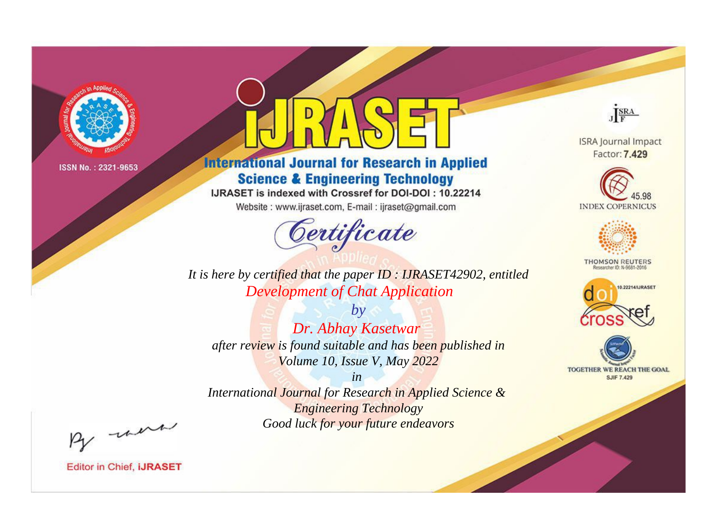

# **International Journal for Research in Applied Science & Engineering Technology**

IJRASET is indexed with Crossref for DOI-DOI: 10.22214

Website: www.ijraset.com, E-mail: ijraset@gmail.com



JERA

**ISRA Journal Impact** Factor: 7.429





**THOMSON REUTERS** 



TOGETHER WE REACH THE GOAL **SJIF 7.429** 

*It is here by certified that the paper ID : IJRASET42902, entitled Development of Chat Application*

*by Dr. Abhay Kasetwar after review is found suitable and has been published in Volume 10, Issue V, May 2022*

*in* 

*International Journal for Research in Applied Science & Engineering Technology Good luck for your future endeavors*

By morn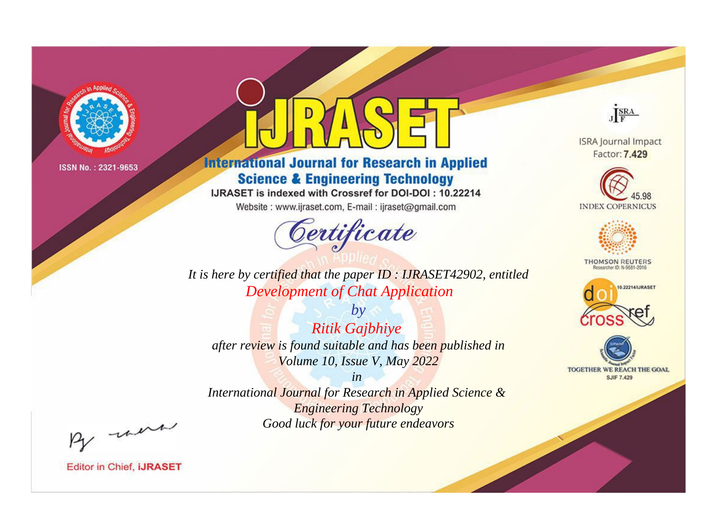

# **International Journal for Research in Applied Science & Engineering Technology**

IJRASET is indexed with Crossref for DOI-DOI: 10.22214

Website: www.ijraset.com, E-mail: ijraset@gmail.com



JERA

**ISRA Journal Impact** Factor: 7.429





**THOMSON REUTERS** 



TOGETHER WE REACH THE GOAL **SJIF 7.429** 

*It is here by certified that the paper ID : IJRASET42902, entitled Development of Chat Application*

*by Ritik Gajbhiye after review is found suitable and has been published in Volume 10, Issue V, May 2022*

*in* 

*International Journal for Research in Applied Science & Engineering Technology Good luck for your future endeavors*

By morn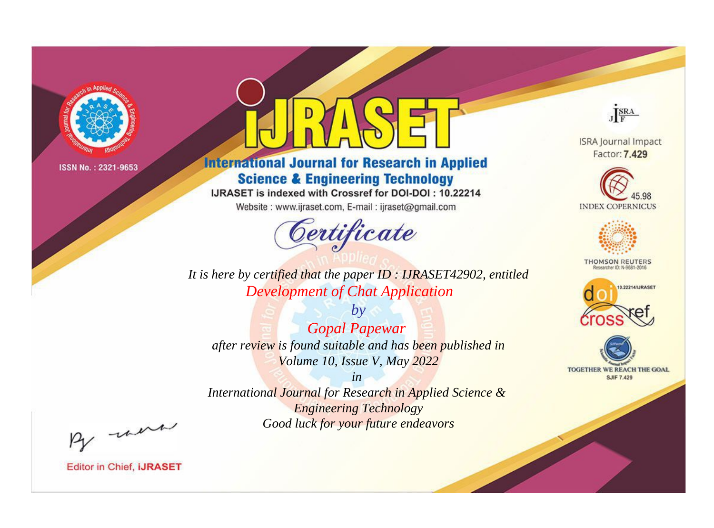

# **International Journal for Research in Applied Science & Engineering Technology**

IJRASET is indexed with Crossref for DOI-DOI: 10.22214

Website: www.ijraset.com, E-mail: ijraset@gmail.com



JERA

**ISRA Journal Impact** Factor: 7.429





**THOMSON REUTERS** 



TOGETHER WE REACH THE GOAL **SJIF 7.429** 

*It is here by certified that the paper ID : IJRASET42902, entitled Development of Chat Application*

*by Gopal Papewar after review is found suitable and has been published in Volume 10, Issue V, May 2022*

*in* 

*International Journal for Research in Applied Science & Engineering Technology Good luck for your future endeavors*

By morn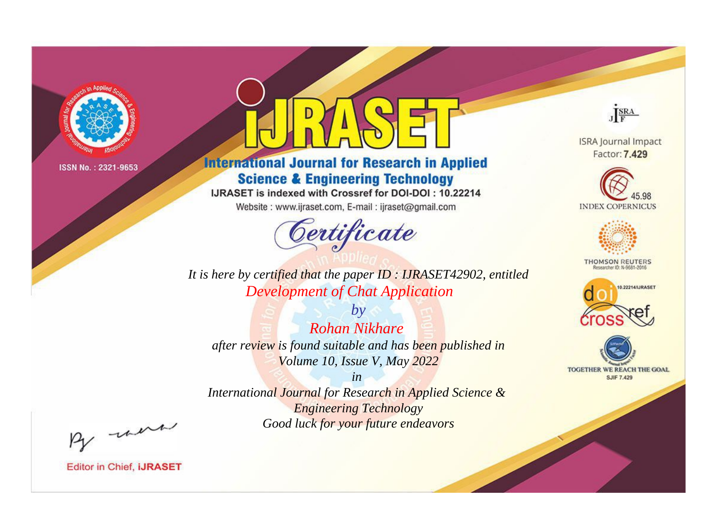

# **International Journal for Research in Applied Science & Engineering Technology**

IJRASET is indexed with Crossref for DOI-DOI: 10.22214

Website: www.ijraset.com, E-mail: ijraset@gmail.com



**ISRA Journal Impact** 

JERA

Factor: 7.429





**THOMSON REUTERS** 



TOGETHER WE REACH THE GOAL **SJIF 7.429** 

*It is here by certified that the paper ID : IJRASET42902, entitled Development of Chat Application*

*by Rohan Nikhare after review is found suitable and has been published in Volume 10, Issue V, May 2022*

*in* 

*International Journal for Research in Applied Science & Engineering Technology Good luck for your future endeavors*

By morn